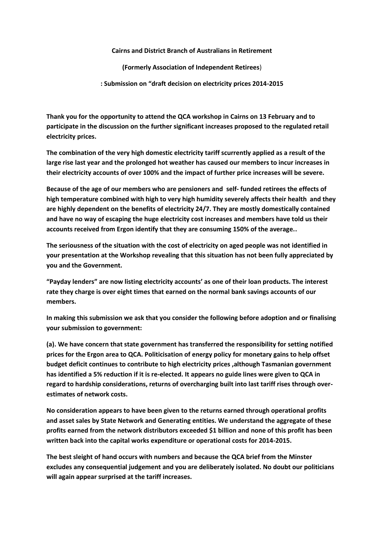**Cairns and District Branch of Australians in Retirement**

**(Formerly Association of Independent Retirees**)

**: Submission on "draft decision on electricity prices 2014-2015**

**Thank you for the opportunity to attend the QCA workshop in Cairns on 13 February and to participate in the discussion on the further significant increases proposed to the regulated retail electricity prices.** 

**The combination of the very high domestic electricity tariff scurrently applied as a result of the large rise last year and the prolonged hot weather has caused our members to incur increases in their electricity accounts of over 100% and the impact of further price increases will be severe.**

**Because of the age of our members who are pensioners and self- funded retirees the effects of high temperature combined with high to very high humidity severely affects their health and they are highly dependent on the benefits of electricity 24/7. They are mostly domestically contained and have no way of escaping the huge electricity cost increases and members have told us their accounts received from Ergon identify that they are consuming 150% of the average..**

**The seriousness of the situation with the cost of electricity on aged people was not identified in your presentation at the Workshop revealing that this situation has not been fully appreciated by you and the Government.**

**"Payday lenders" are now listing electricity accounts' as one of their loan products. The interest rate they charge is over eight times that earned on the normal bank savings accounts of our members.**

**In making this submission we ask that you consider the following before adoption and or finalising your submission to government:**

**(a). We have concern that state government has transferred the responsibility for setting notified prices for the Ergon area to QCA. Politicisation of energy policy for monetary gains to help offset budget deficit continues to contribute to high electricity prices ,although Tasmanian government has identified a 5% reduction if it is re-elected. It appears no guide lines were given to QCA in regard to hardship considerations, returns of overcharging built into last tariff rises through overestimates of network costs.**

**No consideration appears to have been given to the returns earned through operational profits and asset sales by State Network and Generating entities. We understand the aggregate of these profits earned from the network distributors exceeded \$1 billion and none of this profit has been written back into the capital works expenditure or operational costs for 2014-2015.**

**The best sleight of hand occurs with numbers and because the QCA brief from the Minster excludes any consequential judgement and you are deliberately isolated. No doubt our politicians will again appear surprised at the tariff increases.**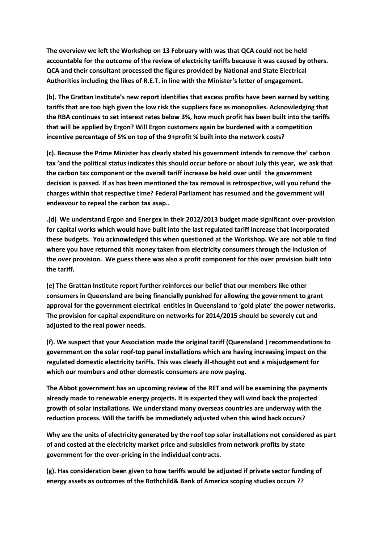**The overview we left the Workshop on 13 February with was that QCA could not be held accountable for the outcome of the review of electricity tariffs because it was caused by others. QCA and their consultant processed the figures provided by National and State Electrical Authorities including the likes of R.E.T. in line with the Minister's letter of engagement.**

**(b). The Grattan Institute's new report identifies that excess profits have been earned by setting tariffs that are too high given the low risk the suppliers face as monopolies. Acknowledging that the RBA continues to set interest rates below 3%, how much profit has been built into the tariffs that will be applied by Ergon? Will Ergon customers again be burdened with a competition incentive percentage of 5% on top of the 9+profit % built into the network costs?**

**(c). Because the Prime Minister has clearly stated his government intends to remove the' carbon tax 'and the political status indicates this should occur before or about July this year, we ask that the carbon tax component or the overall tariff increase be held over until the government decision is passed. If as has been mentioned the tax removal is retrospective, will you refund the charges within that respective time? Federal Parliament has resumed and the government will endeavour to repeal the carbon tax asap..**

**.(d) We understand Ergon and Energex in their 2012/2013 budget made significant over-provision for capital works which would have built into the last regulated tariff increase that incorporated these budgets. You acknowledged this when questioned at the Workshop. We are not able to find where you have returned this money taken from electricity consumers through the inclusion of the over provision. We guess there was also a profit component for this over provision built into the tariff.**

**(e) The Grattan Institute report further reinforces our belief that our members like other consumers in Queensland are being financially punished for allowing the government to grant approval for the government electrical entities in Queensland to 'gold plate' the power networks. The provision for capital expenditure on networks for 2014/2015 should be severely cut and adjusted to the real power needs.**

**(f). We suspect that your Association made the original tariff (Queensland ) recommendations to government on the solar roof-top panel installations which are having increasing impact on the regulated domestic electricity tariffs. This was clearly ill-thought out and a misjudgement for which our members and other domestic consumers are now paying.**

**The Abbot government has an upcoming review of the RET and will be examining the payments already made to renewable energy projects. It is expected they will wind back the projected growth of solar installations. We understand many overseas countries are underway with the reduction process. Will the tariffs be immediately adjusted when this wind back occurs?**

**Why are the units of electricity generated by the roof top solar installations not considered as part of and costed at the electricity market price and subsidies from network profits by state government for the over-pricing in the individual contracts.**

**(g). Has consideration been given to how tariffs would be adjusted if private sector funding of energy assets as outcomes of the Rothchild& Bank of America scoping studies occurs ??**